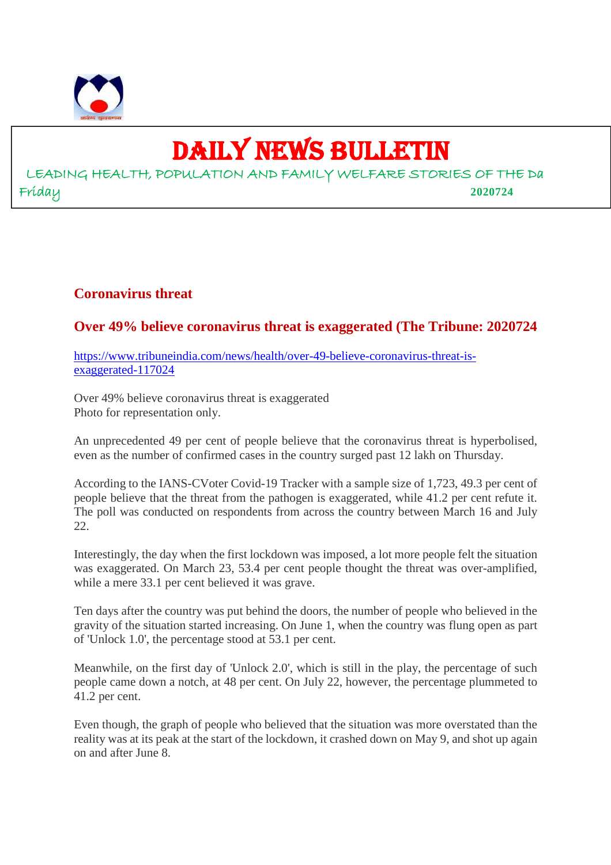

# DAILY NEWS BULLETIN

LEADING HEALTH, POPULATION AND FAMILY WELFARE STORIES OF THE Da Friday **2020724**

## **Coronavirus threat**

# **Over 49% believe coronavirus threat is exaggerated (The Tribune: 2020724**

https://www.tribuneindia.com/news/health/over-49-believe-coronavirus-threat-isexaggerated-117024

Over 49% believe coronavirus threat is exaggerated Photo for representation only.

An unprecedented 49 per cent of people believe that the coronavirus threat is hyperbolised, even as the number of confirmed cases in the country surged past 12 lakh on Thursday.

According to the IANS-CVoter Covid-19 Tracker with a sample size of 1,723, 49.3 per cent of people believe that the threat from the pathogen is exaggerated, while 41.2 per cent refute it. The poll was conducted on respondents from across the country between March 16 and July  $22.$ 

Interestingly, the day when the first lockdown was imposed, a lot more people felt the situation was exaggerated. On March 23, 53.4 per cent people thought the threat was over-amplified, while a mere 33.1 per cent believed it was grave.

Ten days after the country was put behind the doors, the number of people who believed in the gravity of the situation started increasing. On June 1, when the country was flung open as part of 'Unlock 1.0', the percentage stood at 53.1 per cent.

Meanwhile, on the first day of 'Unlock 2.0', which is still in the play, the percentage of such people came down a notch, at 48 per cent. On July 22, however, the percentage plummeted to 41.2 per cent.

Even though, the graph of people who believed that the situation was more overstated than the reality was at its peak at the start of the lockdown, it crashed down on May 9, and shot up again on and after June 8.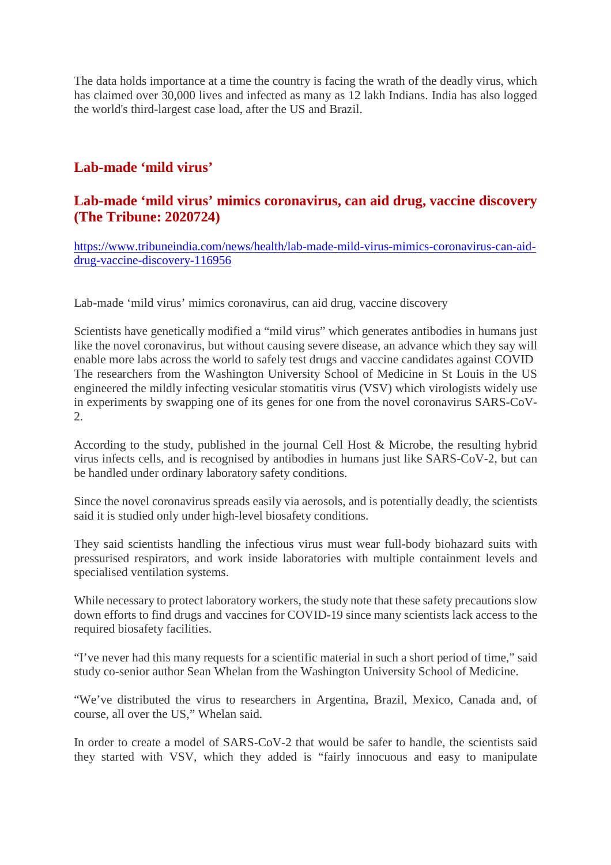The data holds importance at a time the country is facing the wrath of the deadly virus, which has claimed over 30,000 lives and infected as many as 12 lakh Indians. India has also logged the world's third-largest case load, after the US and Brazil.

## **Lab-made 'mild virus'**

#### **Lab-made 'mild virus' mimics coronavirus, can aid drug, vaccine discovery (The Tribune: 2020724)**

https://www.tribuneindia.com/news/health/lab-made-mild-virus-mimics-coronavirus-can-aiddrug-vaccine-discovery-116956

Lab-made 'mild virus' mimics coronavirus, can aid drug, vaccine discovery

Scientists have genetically modified a "mild virus" which generates antibodies in humans just like the novel coronavirus, but without causing severe disease, an advance which they say will enable more labs across the world to safely test drugs and vaccine candidates against COVID The researchers from the Washington University School of Medicine in St Louis in the US engineered the mildly infecting vesicular stomatitis virus (VSV) which virologists widely use in experiments by swapping one of its genes for one from the novel coronavirus SARS-CoV-2.

According to the study, published in the journal Cell Host & Microbe, the resulting hybrid virus infects cells, and is recognised by antibodies in humans just like SARS-CoV-2, but can be handled under ordinary laboratory safety conditions.

Since the novel coronavirus spreads easily via aerosols, and is potentially deadly, the scientists said it is studied only under high-level biosafety conditions.

They said scientists handling the infectious virus must wear full-body biohazard suits with pressurised respirators, and work inside laboratories with multiple containment levels and specialised ventilation systems.

While necessary to protect laboratory workers, the study note that these safety precautions slow down efforts to find drugs and vaccines for COVID-19 since many scientists lack access to the required biosafety facilities.

"I've never had this many requests for a scientific material in such a short period of time," said study co-senior author Sean Whelan from the Washington University School of Medicine.

"We've distributed the virus to researchers in Argentina, Brazil, Mexico, Canada and, of course, all over the US," Whelan said.

In order to create a model of SARS-CoV-2 that would be safer to handle, the scientists said they started with VSV, which they added is "fairly innocuous and easy to manipulate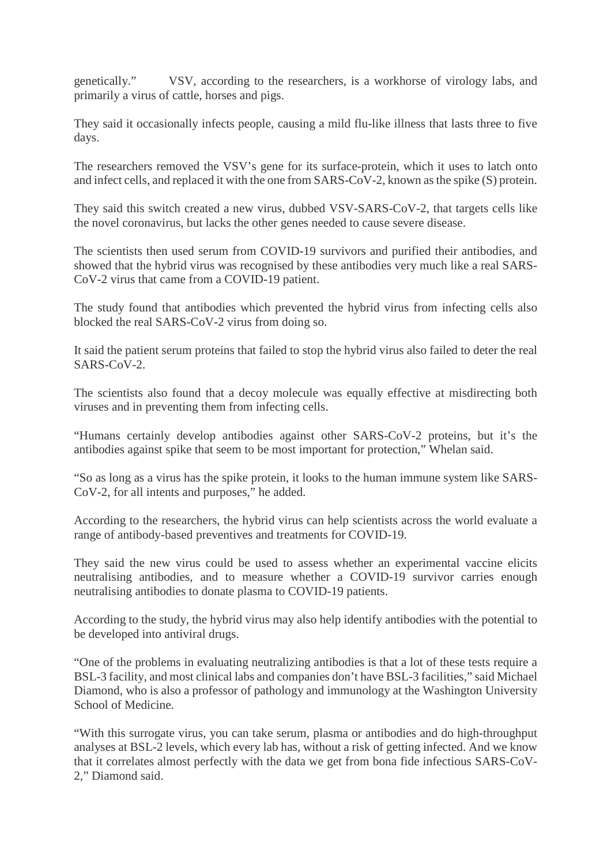genetically." VSV, according to the researchers, is a workhorse of virology labs, and primarily a virus of cattle, horses and pigs.

They said it occasionally infects people, causing a mild flu-like illness that lasts three to five days.

The researchers removed the VSV's gene for its surface-protein, which it uses to latch onto and infect cells, and replaced it with the one from SARS-CoV-2, known as the spike (S) protein.

They said this switch created a new virus, dubbed VSV-SARS-CoV-2, that targets cells like the novel coronavirus, but lacks the other genes needed to cause severe disease.

The scientists then used serum from COVID-19 survivors and purified their antibodies, and showed that the hybrid virus was recognised by these antibodies very much like a real SARS-CoV-2 virus that came from a COVID-19 patient.

The study found that antibodies which prevented the hybrid virus from infecting cells also blocked the real SARS-CoV-2 virus from doing so.

It said the patient serum proteins that failed to stop the hybrid virus also failed to deter the real SARS-CoV-2.

The scientists also found that a decoy molecule was equally effective at misdirecting both viruses and in preventing them from infecting cells.

"Humans certainly develop antibodies against other SARS-CoV-2 proteins, but it's the antibodies against spike that seem to be most important for protection," Whelan said.

"So as long as a virus has the spike protein, it looks to the human immune system like SARS-CoV-2, for all intents and purposes," he added.

According to the researchers, the hybrid virus can help scientists across the world evaluate a range of antibody-based preventives and treatments for COVID-19.

They said the new virus could be used to assess whether an experimental vaccine elicits neutralising antibodies, and to measure whether a COVID-19 survivor carries enough neutralising antibodies to donate plasma to COVID-19 patients.

According to the study, the hybrid virus may also help identify antibodies with the potential to be developed into antiviral drugs.

"One of the problems in evaluating neutralizing antibodies is that a lot of these tests require a BSL-3 facility, and most clinical labs and companies don't have BSL-3 facilities," said Michael Diamond, who is also a professor of pathology and immunology at the Washington University School of Medicine.

"With this surrogate virus, you can take serum, plasma or antibodies and do high-throughput analyses at BSL-2 levels, which every lab has, without a risk of getting infected. And we know that it correlates almost perfectly with the data we get from bona fide infectious SARS-CoV-2," Diamond said.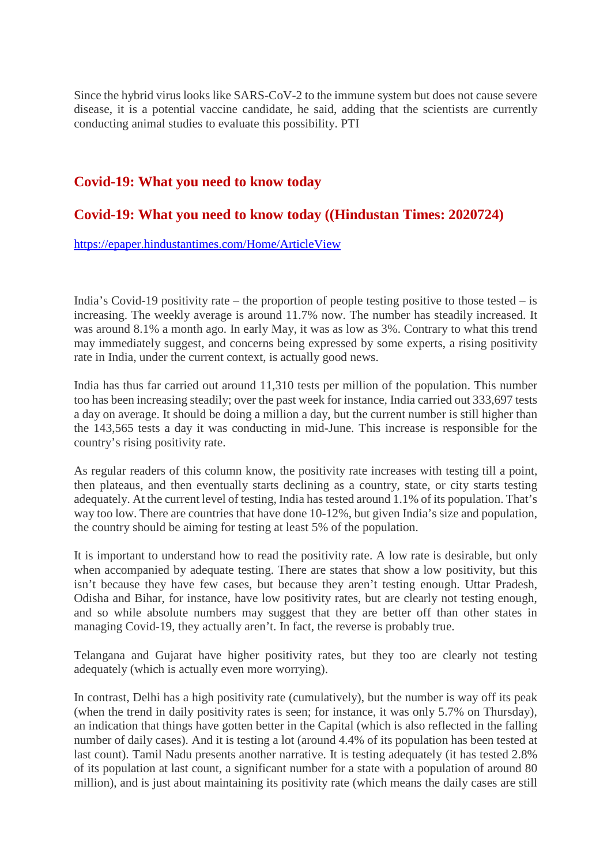Since the hybrid virus looks like SARS-CoV-2 to the immune system but does not cause severe disease, it is a potential vaccine candidate, he said, adding that the scientists are currently conducting animal studies to evaluate this possibility. PTI

#### **Covid-19: What you need to know today**

#### **Covid-19: What you need to know today ((Hindustan Times: 2020724)**

#### https://epaper.hindustantimes.com/Home/ArticleView

India's Covid-19 positivity rate – the proportion of people testing positive to those tested – is increasing. The weekly average is around 11.7% now. The number has steadily increased. It was around 8.1% a month ago. In early May, it was as low as 3%. Contrary to what this trend may immediately suggest, and concerns being expressed by some experts, a rising positivity rate in India, under the current context, is actually good news.

India has thus far carried out around 11,310 tests per million of the population. This number too has been increasing steadily; over the past week for instance, India carried out 333,697 tests a day on average. It should be doing a million a day, but the current number is still higher than the 143,565 tests a day it was conducting in mid-June. This increase is responsible for the country's rising positivity rate.

As regular readers of this column know, the positivity rate increases with testing till a point, then plateaus, and then eventually starts declining as a country, state, or city starts testing adequately. At the current level of testing, India has tested around 1.1% of its population. That's way too low. There are countries that have done 10-12%, but given India's size and population, the country should be aiming for testing at least 5% of the population.

It is important to understand how to read the positivity rate. A low rate is desirable, but only when accompanied by adequate testing. There are states that show a low positivity, but this isn't because they have few cases, but because they aren't testing enough. Uttar Pradesh, Odisha and Bihar, for instance, have low positivity rates, but are clearly not testing enough, and so while absolute numbers may suggest that they are better off than other states in managing Covid-19, they actually aren't. In fact, the reverse is probably true.

Telangana and Gujarat have higher positivity rates, but they too are clearly not testing adequately (which is actually even more worrying).

In contrast, Delhi has a high positivity rate (cumulatively), but the number is way off its peak (when the trend in daily positivity rates is seen; for instance, it was only 5.7% on Thursday), an indication that things have gotten better in the Capital (which is also reflected in the falling number of daily cases). And it is testing a lot (around 4.4% of its population has been tested at last count). Tamil Nadu presents another narrative. It is testing adequately (it has tested 2.8% of its population at last count, a significant number for a state with a population of around 80 million), and is just about maintaining its positivity rate (which means the daily cases are still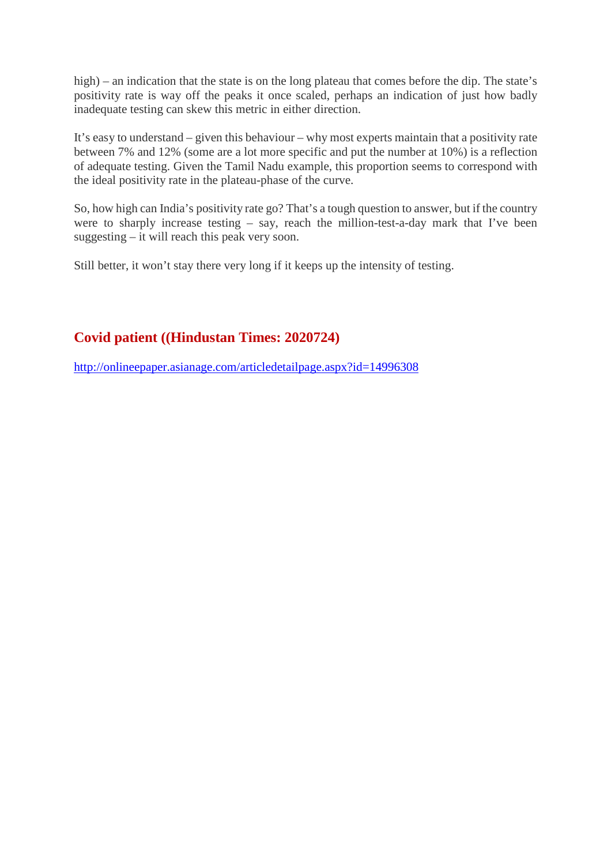high) – an indication that the state is on the long plateau that comes before the dip. The state's positivity rate is way off the peaks it once scaled, perhaps an indication of just how badly inadequate testing can skew this metric in either direction.

It's easy to understand – given this behaviour – why most experts maintain that a positivity rate between 7% and 12% (some are a lot more specific and put the number at 10%) is a reflection of adequate testing. Given the Tamil Nadu example, this proportion seems to correspond with the ideal positivity rate in the plateau-phase of the curve.

So, how high can India's positivity rate go? That's a tough question to answer, but if the country were to sharply increase testing – say, reach the million-test-a-day mark that I've been suggesting – it will reach this peak very soon.

Still better, it won't stay there very long if it keeps up the intensity of testing.

# **Covid patient ((Hindustan Times: 2020724)**

http://onlineepaper.asianage.com/articledetailpage.aspx?id=14996308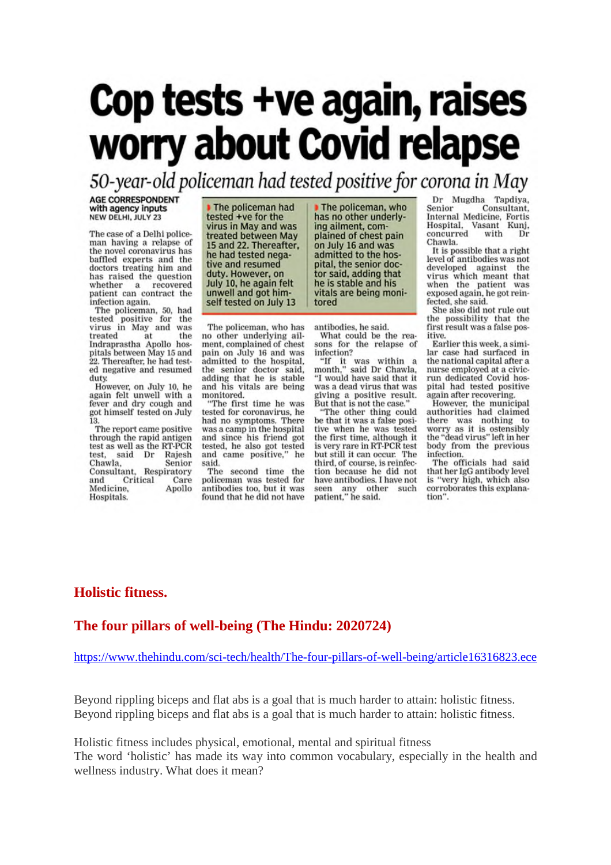# Cop tests +ve again, raises worry about Covid relapse

50-year-old policeman had tested positive for corona in May

**AGE CORRESPONDENT** with agency inputs NEW DELHI, JULY 23

The case of a Delhi policeman having a relapse of the novel coronavirus has baffled experts and the doctors treating him and has raised the question whether a recovered patient can contract the infection again.

The policeman, 50, had tested positive for the<br>virus in May and was treated treated at the<br>Indraprastha Apollo hosthe pitals between May 15 and<br>22. Thereafter, he had tested negative and resumed duty.

However, on July 10, he again felt unwell with a fever and dry cough and got himself tested on July 13.

The report came positive through the rapid antigen test as well as the RT-PCR Rajesh test, said Dr Chawla, Senior Consultant, Respiratory and Critical Care Medicine, Apollo Hospitals.

The policeman had tested +ve for the virus in May and was treated between May 15 and 22. Thereafter, he had tested negative and resumed duty. However, on July 10, he again felt unwell and got himself tested on July 13

The policeman, who has no other underlying ailment, complained of chest pain on July 16 and was admitted to the hospital, the senior doctor said,<br>adding that he is stable and his vitals are being monitored.

"The first time he was tested for coronavirus, he had no symptoms. There was a camp in the hospital and since his friend got tested, he also got tested and came positive," he said.

The second time the policeman was tested for antibodies too, but it was found that he did not have

The policeman, who has no other underlying ailment, complained of chest pain on July 16 and was admitted to the hospital, the senior doctor said, adding that he is stable and his vitals are being monitored

antibodies, he said.

What could be the reasons for the relapse of infection?

"If it was within a<br>month," said Dr Chawla, "I would have said that it was a dead virus that was giving a positive result. But that is not the case.

"The other thing could be that it was a false positive when he was tested the first time, although it is very rare in RT-PCR test but still it can occur. The third, of course, is reinfection because he did not have antibodies. I have not seen any other such<br>patient," he said. Dr Mugdha Tapdiya,<br>Senior Consultant, Internal Medicine, Fortis Hospital,<br>concurred Vasant Kuni. with Dr Chawla.

It is possible that a right level of antibodies was not developed against virus which meant that when the patient was exposed again, he got reinfected, she said.

She also did not rule out the possibility that the first result was a false positive.

Earlier this week, a similar case had surfaced in the national capital after a nurse employed at a civicrun dedicated Covid hospital had tested positive again after recovering.

However, the municipal authorities had claimed there was nothing to worry as it is ostensibly<br>the "dead virus" left in her body from the previous infection.

The officials had said that her IgG antibody level is "very high, which also corroborates this explanation".

## **Holistic fitness.**

#### **The four pillars of well-being (The Hindu: 2020724)**

https://www.thehindu.com/sci-tech/health/The-four-pillars-of-well-being/article16316823.ece

Beyond rippling biceps and flat abs is a goal that is much harder to attain: holistic fitness. Beyond rippling biceps and flat abs is a goal that is much harder to attain: holistic fitness.

Holistic fitness includes physical, emotional, mental and spiritual fitness The word 'holistic' has made its way into common vocabulary, especially in the health and wellness industry. What does it mean?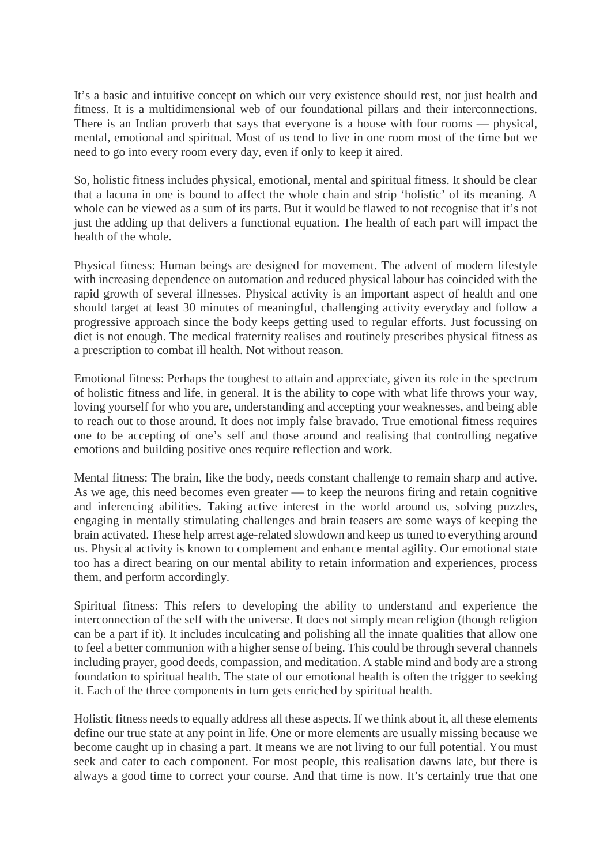It's a basic and intuitive concept on which our very existence should rest, not just health and fitness. It is a multidimensional web of our foundational pillars and their interconnections. There is an Indian proverb that says that everyone is a house with four rooms — physical, mental, emotional and spiritual. Most of us tend to live in one room most of the time but we need to go into every room every day, even if only to keep it aired.

So, holistic fitness includes physical, emotional, mental and spiritual fitness. It should be clear that a lacuna in one is bound to affect the whole chain and strip 'holistic' of its meaning. A whole can be viewed as a sum of its parts. But it would be flawed to not recognise that it's not just the adding up that delivers a functional equation. The health of each part will impact the health of the whole.

Physical fitness: Human beings are designed for movement. The advent of modern lifestyle with increasing dependence on automation and reduced physical labour has coincided with the rapid growth of several illnesses. Physical activity is an important aspect of health and one should target at least 30 minutes of meaningful, challenging activity everyday and follow a progressive approach since the body keeps getting used to regular efforts. Just focussing on diet is not enough. The medical fraternity realises and routinely prescribes physical fitness as a prescription to combat ill health. Not without reason.

Emotional fitness: Perhaps the toughest to attain and appreciate, given its role in the spectrum of holistic fitness and life, in general. It is the ability to cope with what life throws your way, loving yourself for who you are, understanding and accepting your weaknesses, and being able to reach out to those around. It does not imply false bravado. True emotional fitness requires one to be accepting of one's self and those around and realising that controlling negative emotions and building positive ones require reflection and work.

Mental fitness: The brain, like the body, needs constant challenge to remain sharp and active. As we age, this need becomes even greater — to keep the neurons firing and retain cognitive and inferencing abilities. Taking active interest in the world around us, solving puzzles, engaging in mentally stimulating challenges and brain teasers are some ways of keeping the brain activated. These help arrest age-related slowdown and keep us tuned to everything around us. Physical activity is known to complement and enhance mental agility. Our emotional state too has a direct bearing on our mental ability to retain information and experiences, process them, and perform accordingly.

Spiritual fitness: This refers to developing the ability to understand and experience the interconnection of the self with the universe. It does not simply mean religion (though religion can be a part if it). It includes inculcating and polishing all the innate qualities that allow one to feel a better communion with a higher sense of being. This could be through several channels including prayer, good deeds, compassion, and meditation. A stable mind and body are a strong foundation to spiritual health. The state of our emotional health is often the trigger to seeking it. Each of the three components in turn gets enriched by spiritual health.

Holistic fitness needs to equally address all these aspects. If we think about it, all these elements define our true state at any point in life. One or more elements are usually missing because we become caught up in chasing a part. It means we are not living to our full potential. You must seek and cater to each component. For most people, this realisation dawns late, but there is always a good time to correct your course. And that time is now. It's certainly true that one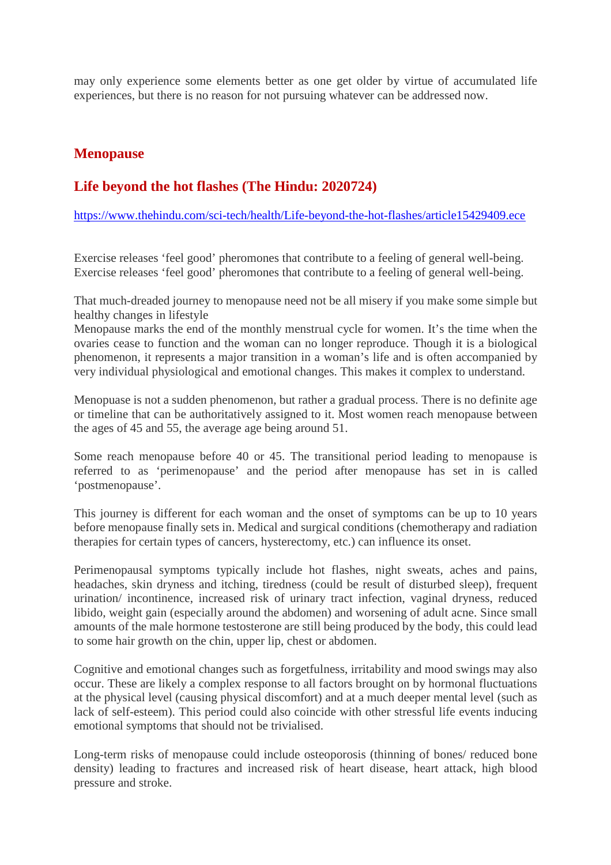may only experience some elements better as one get older by virtue of accumulated life experiences, but there is no reason for not pursuing whatever can be addressed now.

#### **Menopause**

## **Life beyond the hot flashes (The Hindu: 2020724)**

https://www.thehindu.com/sci-tech/health/Life-beyond-the-hot-flashes/article15429409.ece

Exercise releases 'feel good' pheromones that contribute to a feeling of general well-being. Exercise releases 'feel good' pheromones that contribute to a feeling of general well-being.

That much-dreaded journey to menopause need not be all misery if you make some simple but healthy changes in lifestyle

Menopause marks the end of the monthly menstrual cycle for women. It's the time when the ovaries cease to function and the woman can no longer reproduce. Though it is a biological phenomenon, it represents a major transition in a woman's life and is often accompanied by very individual physiological and emotional changes. This makes it complex to understand.

Menopuase is not a sudden phenomenon, but rather a gradual process. There is no definite age or timeline that can be authoritatively assigned to it. Most women reach menopause between the ages of 45 and 55, the average age being around 51.

Some reach menopause before 40 or 45. The transitional period leading to menopause is referred to as 'perimenopause' and the period after menopause has set in is called 'postmenopause'.

This journey is different for each woman and the onset of symptoms can be up to 10 years before menopause finally sets in. Medical and surgical conditions (chemotherapy and radiation therapies for certain types of cancers, hysterectomy, etc.) can influence its onset.

Perimenopausal symptoms typically include hot flashes, night sweats, aches and pains, headaches, skin dryness and itching, tiredness (could be result of disturbed sleep), frequent urination/ incontinence, increased risk of urinary tract infection, vaginal dryness, reduced libido, weight gain (especially around the abdomen) and worsening of adult acne. Since small amounts of the male hormone testosterone are still being produced by the body, this could lead to some hair growth on the chin, upper lip, chest or abdomen.

Cognitive and emotional changes such as forgetfulness, irritability and mood swings may also occur. These are likely a complex response to all factors brought on by hormonal fluctuations at the physical level (causing physical discomfort) and at a much deeper mental level (such as lack of self-esteem). This period could also coincide with other stressful life events inducing emotional symptoms that should not be trivialised.

Long-term risks of menopause could include osteoporosis (thinning of bones/ reduced bone density) leading to fractures and increased risk of heart disease, heart attack, high blood pressure and stroke.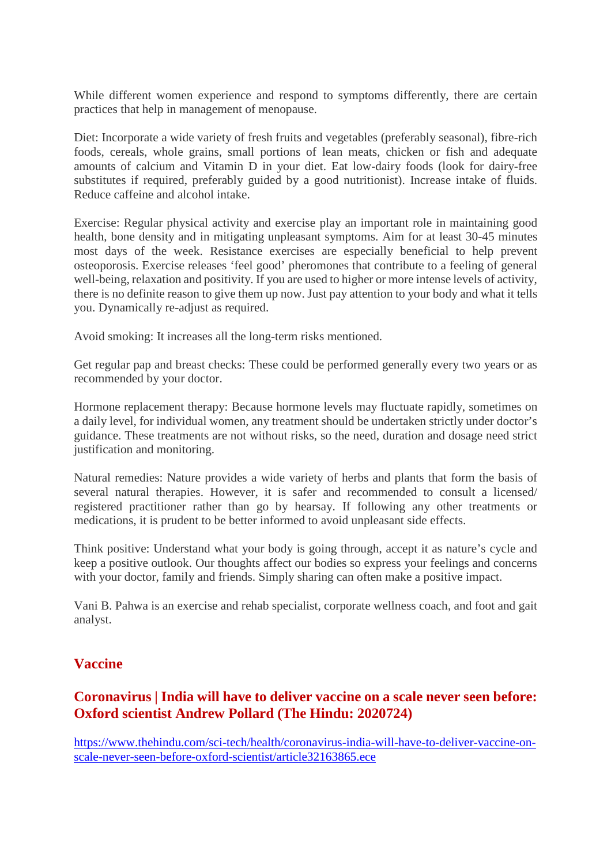While different women experience and respond to symptoms differently, there are certain practices that help in management of menopause.

Diet: Incorporate a wide variety of fresh fruits and vegetables (preferably seasonal), fibre-rich foods, cereals, whole grains, small portions of lean meats, chicken or fish and adequate amounts of calcium and Vitamin D in your diet. Eat low-dairy foods (look for dairy-free substitutes if required, preferably guided by a good nutritionist). Increase intake of fluids. Reduce caffeine and alcohol intake.

Exercise: Regular physical activity and exercise play an important role in maintaining good health, bone density and in mitigating unpleasant symptoms. Aim for at least 30-45 minutes most days of the week. Resistance exercises are especially beneficial to help prevent osteoporosis. Exercise releases 'feel good' pheromones that contribute to a feeling of general well-being, relaxation and positivity. If you are used to higher or more intense levels of activity, there is no definite reason to give them up now. Just pay attention to your body and what it tells you. Dynamically re-adjust as required.

Avoid smoking: It increases all the long-term risks mentioned.

Get regular pap and breast checks: These could be performed generally every two years or as recommended by your doctor.

Hormone replacement therapy: Because hormone levels may fluctuate rapidly, sometimes on a daily level, for individual women, any treatment should be undertaken strictly under doctor's guidance. These treatments are not without risks, so the need, duration and dosage need strict justification and monitoring.

Natural remedies: Nature provides a wide variety of herbs and plants that form the basis of several natural therapies. However, it is safer and recommended to consult a licensed/ registered practitioner rather than go by hearsay. If following any other treatments or medications, it is prudent to be better informed to avoid unpleasant side effects.

Think positive: Understand what your body is going through, accept it as nature's cycle and keep a positive outlook. Our thoughts affect our bodies so express your feelings and concerns with your doctor, family and friends. Simply sharing can often make a positive impact.

Vani B. Pahwa is an exercise and rehab specialist, corporate wellness coach, and foot and gait analyst.

## **Vaccine**

## **Coronavirus | India will have to deliver vaccine on a scale never seen before: Oxford scientist Andrew Pollard (The Hindu: 2020724)**

https://www.thehindu.com/sci-tech/health/coronavirus-india-will-have-to-deliver-vaccine-onscale-never-seen-before-oxford-scientist/article32163865.ece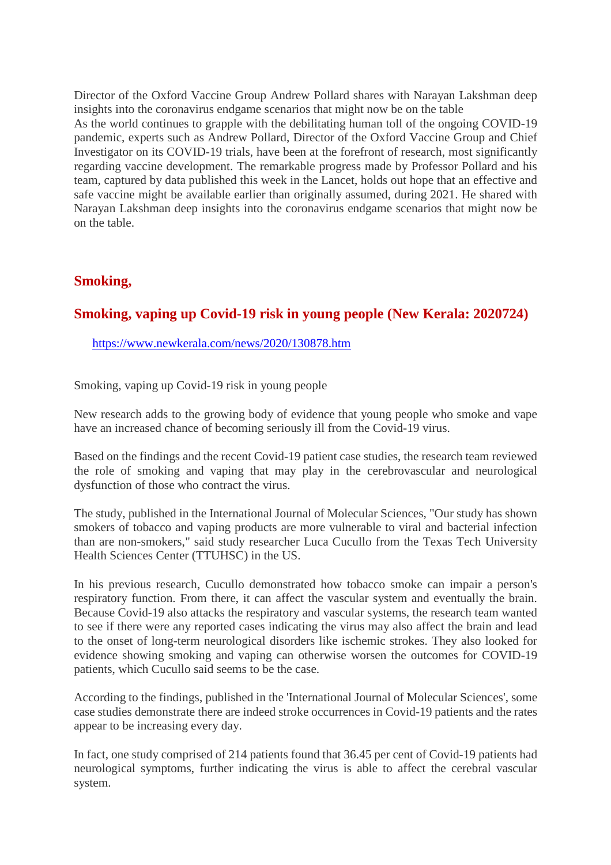Director of the Oxford Vaccine Group Andrew Pollard shares with Narayan Lakshman deep insights into the coronavirus endgame scenarios that might now be on the table As the world continues to grapple with the debilitating human toll of the ongoing COVID-19 pandemic, experts such as Andrew Pollard, Director of the Oxford Vaccine Group and Chief Investigator on its COVID-19 trials, have been at the forefront of research, most significantly regarding vaccine development. The remarkable progress made by Professor Pollard and his team, captured by data published this week in the Lancet, holds out hope that an effective and safe vaccine might be available earlier than originally assumed, during 2021. He shared with Narayan Lakshman deep insights into the coronavirus endgame scenarios that might now be on the table.

#### **Smoking,**

## **Smoking, vaping up Covid-19 risk in young people (New Kerala: 2020724)**

https://www.newkerala.com/news/2020/130878.htm

Smoking, vaping up Covid-19 risk in young people

New research adds to the growing body of evidence that young people who smoke and vape have an increased chance of becoming seriously ill from the Covid-19 virus.

Based on the findings and the recent Covid-19 patient case studies, the research team reviewed the role of smoking and vaping that may play in the cerebrovascular and neurological dysfunction of those who contract the virus.

The study, published in the International Journal of Molecular Sciences, "Our study has shown smokers of tobacco and vaping products are more vulnerable to viral and bacterial infection than are non-smokers," said study researcher Luca Cucullo from the Texas Tech University Health Sciences Center (TTUHSC) in the US.

In his previous research, Cucullo demonstrated how tobacco smoke can impair a person's respiratory function. From there, it can affect the vascular system and eventually the brain. Because Covid-19 also attacks the respiratory and vascular systems, the research team wanted to see if there were any reported cases indicating the virus may also affect the brain and lead to the onset of long-term neurological disorders like ischemic strokes. They also looked for evidence showing smoking and vaping can otherwise worsen the outcomes for COVID-19 patients, which Cucullo said seems to be the case.

According to the findings, published in the 'International Journal of Molecular Sciences', some case studies demonstrate there are indeed stroke occurrences in Covid-19 patients and the rates appear to be increasing every day.

In fact, one study comprised of 214 patients found that 36.45 per cent of Covid-19 patients had neurological symptoms, further indicating the virus is able to affect the cerebral vascular system.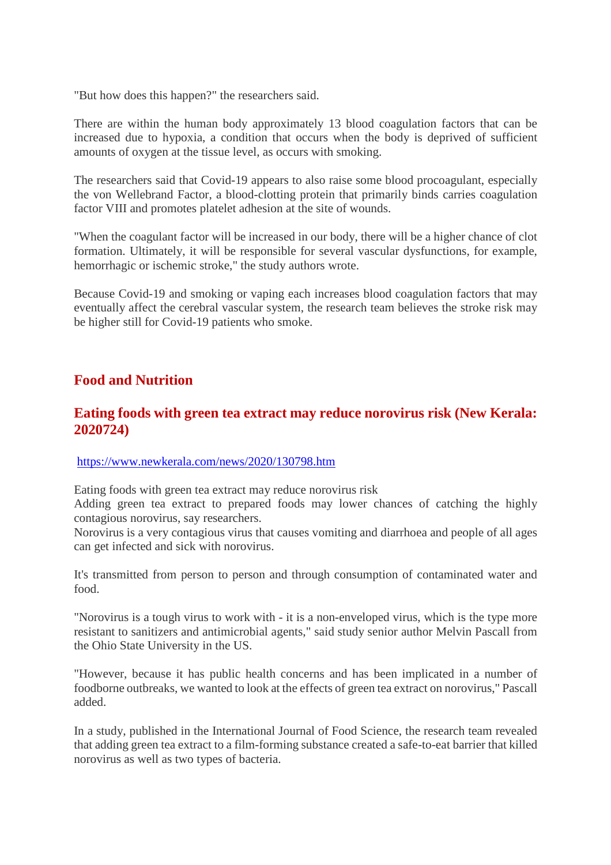"But how does this happen?" the researchers said.

There are within the human body approximately 13 blood coagulation factors that can be increased due to hypoxia, a condition that occurs when the body is deprived of sufficient amounts of oxygen at the tissue level, as occurs with smoking.

The researchers said that Covid-19 appears to also raise some blood procoagulant, especially the von Wellebrand Factor, a blood-clotting protein that primarily binds carries coagulation factor VIII and promotes platelet adhesion at the site of wounds.

"When the coagulant factor will be increased in our body, there will be a higher chance of clot formation. Ultimately, it will be responsible for several vascular dysfunctions, for example, hemorrhagic or ischemic stroke," the study authors wrote.

Because Covid-19 and smoking or vaping each increases blood coagulation factors that may eventually affect the cerebral vascular system, the research team believes the stroke risk may be higher still for Covid-19 patients who smoke.

#### **Food and Nutrition**

#### **Eating foods with green tea extract may reduce norovirus risk (New Kerala: 2020724)**

#### https://www.newkerala.com/news/2020/130798.htm

Eating foods with green tea extract may reduce norovirus risk

Adding green tea extract to prepared foods may lower chances of catching the highly contagious norovirus, say researchers.

Norovirus is a very contagious virus that causes vomiting and diarrhoea and people of all ages can get infected and sick with norovirus.

It's transmitted from person to person and through consumption of contaminated water and food.

"Norovirus is a tough virus to work with - it is a non-enveloped virus, which is the type more resistant to sanitizers and antimicrobial agents," said study senior author Melvin Pascall from the Ohio State University in the US.

"However, because it has public health concerns and has been implicated in a number of foodborne outbreaks, we wanted to look at the effects of green tea extract on norovirus," Pascall added.

In a study, published in the International Journal of Food Science, the research team revealed that adding green tea extract to a film-forming substance created a safe-to-eat barrier that killed norovirus as well as two types of bacteria.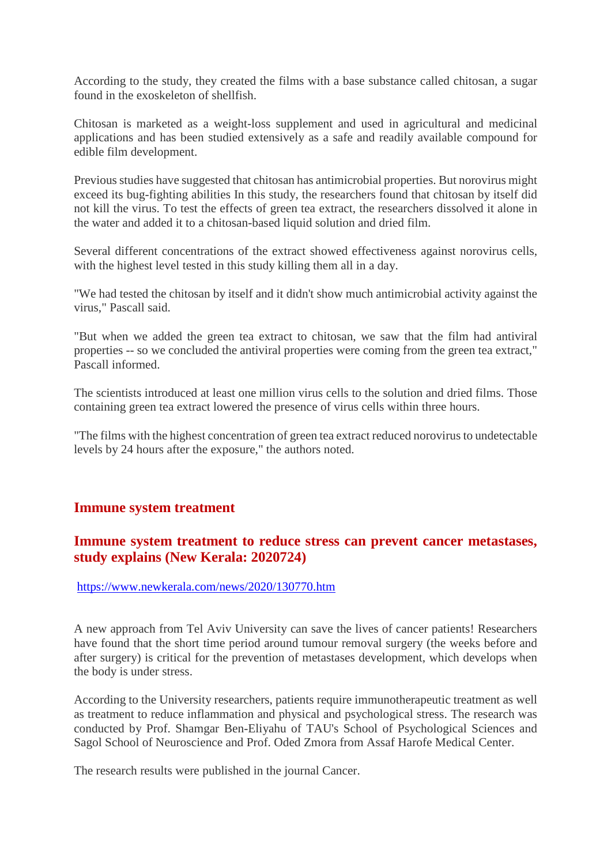According to the study, they created the films with a base substance called chitosan, a sugar found in the exoskeleton of shellfish.

Chitosan is marketed as a weight-loss supplement and used in agricultural and medicinal applications and has been studied extensively as a safe and readily available compound for edible film development.

Previous studies have suggested that chitosan has antimicrobial properties. But norovirus might exceed its bug-fighting abilities In this study, the researchers found that chitosan by itself did not kill the virus. To test the effects of green tea extract, the researchers dissolved it alone in the water and added it to a chitosan-based liquid solution and dried film.

Several different concentrations of the extract showed effectiveness against norovirus cells, with the highest level tested in this study killing them all in a day.

"We had tested the chitosan by itself and it didn't show much antimicrobial activity against the virus," Pascall said.

"But when we added the green tea extract to chitosan, we saw that the film had antiviral properties -- so we concluded the antiviral properties were coming from the green tea extract," Pascall informed.

The scientists introduced at least one million virus cells to the solution and dried films. Those containing green tea extract lowered the presence of virus cells within three hours.

"The films with the highest concentration of green tea extract reduced norovirus to undetectable levels by 24 hours after the exposure," the authors noted.

#### **Immune system treatment**

#### **Immune system treatment to reduce stress can prevent cancer metastases, study explains (New Kerala: 2020724)**

https://www.newkerala.com/news/2020/130770.htm

A new approach from Tel Aviv University can save the lives of cancer patients! Researchers have found that the short time period around tumour removal surgery (the weeks before and after surgery) is critical for the prevention of metastases development, which develops when the body is under stress.

According to the University researchers, patients require immunotherapeutic treatment as well as treatment to reduce inflammation and physical and psychological stress. The research was conducted by Prof. Shamgar Ben-Eliyahu of TAU's School of Psychological Sciences and Sagol School of Neuroscience and Prof. Oded Zmora from Assaf Harofe Medical Center.

The research results were published in the journal Cancer.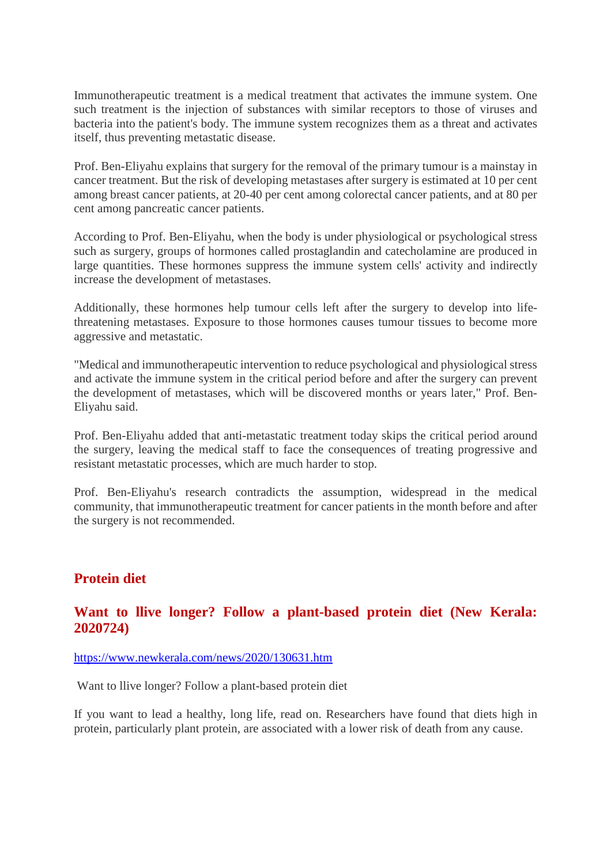Immunotherapeutic treatment is a medical treatment that activates the immune system. One such treatment is the injection of substances with similar receptors to those of viruses and bacteria into the patient's body. The immune system recognizes them as a threat and activates itself, thus preventing metastatic disease.

Prof. Ben-Eliyahu explains that surgery for the removal of the primary tumour is a mainstay in cancer treatment. But the risk of developing metastases after surgery is estimated at 10 per cent among breast cancer patients, at 20-40 per cent among colorectal cancer patients, and at 80 per cent among pancreatic cancer patients.

According to Prof. Ben-Eliyahu, when the body is under physiological or psychological stress such as surgery, groups of hormones called prostaglandin and catecholamine are produced in large quantities. These hormones suppress the immune system cells' activity and indirectly increase the development of metastases.

Additionally, these hormones help tumour cells left after the surgery to develop into lifethreatening metastases. Exposure to those hormones causes tumour tissues to become more aggressive and metastatic.

"Medical and immunotherapeutic intervention to reduce psychological and physiological stress and activate the immune system in the critical period before and after the surgery can prevent the development of metastases, which will be discovered months or years later," Prof. Ben-Eliyahu said.

Prof. Ben-Eliyahu added that anti-metastatic treatment today skips the critical period around the surgery, leaving the medical staff to face the consequences of treating progressive and resistant metastatic processes, which are much harder to stop.

Prof. Ben-Eliyahu's research contradicts the assumption, widespread in the medical community, that immunotherapeutic treatment for cancer patients in the month before and after the surgery is not recommended.

## **Protein diet**

## **Want to llive longer? Follow a plant-based protein diet (New Kerala: 2020724)**

https://www.newkerala.com/news/2020/130631.htm

Want to llive longer? Follow a plant-based protein diet

If you want to lead a healthy, long life, read on. Researchers have found that diets high in protein, particularly plant protein, are associated with a lower risk of death from any cause.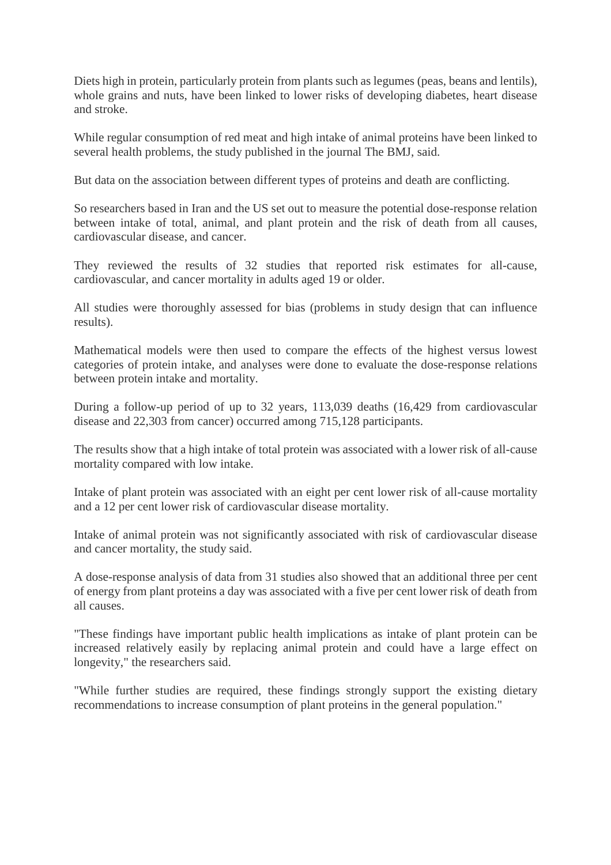Diets high in protein, particularly protein from plants such as legumes (peas, beans and lentils), whole grains and nuts, have been linked to lower risks of developing diabetes, heart disease and stroke.

While regular consumption of red meat and high intake of animal proteins have been linked to several health problems, the study published in the journal The BMJ, said.

But data on the association between different types of proteins and death are conflicting.

So researchers based in Iran and the US set out to measure the potential dose-response relation between intake of total, animal, and plant protein and the risk of death from all causes, cardiovascular disease, and cancer.

They reviewed the results of 32 studies that reported risk estimates for all-cause, cardiovascular, and cancer mortality in adults aged 19 or older.

All studies were thoroughly assessed for bias (problems in study design that can influence results).

Mathematical models were then used to compare the effects of the highest versus lowest categories of protein intake, and analyses were done to evaluate the dose-response relations between protein intake and mortality.

During a follow-up period of up to 32 years, 113,039 deaths (16,429 from cardiovascular disease and 22,303 from cancer) occurred among 715,128 participants.

The results show that a high intake of total protein was associated with a lower risk of all-cause mortality compared with low intake.

Intake of plant protein was associated with an eight per cent lower risk of all-cause mortality and a 12 per cent lower risk of cardiovascular disease mortality.

Intake of animal protein was not significantly associated with risk of cardiovascular disease and cancer mortality, the study said.

A dose-response analysis of data from 31 studies also showed that an additional three per cent of energy from plant proteins a day was associated with a five per cent lower risk of death from all causes.

"These findings have important public health implications as intake of plant protein can be increased relatively easily by replacing animal protein and could have a large effect on longevity," the researchers said.

"While further studies are required, these findings strongly support the existing dietary recommendations to increase consumption of plant proteins in the general population."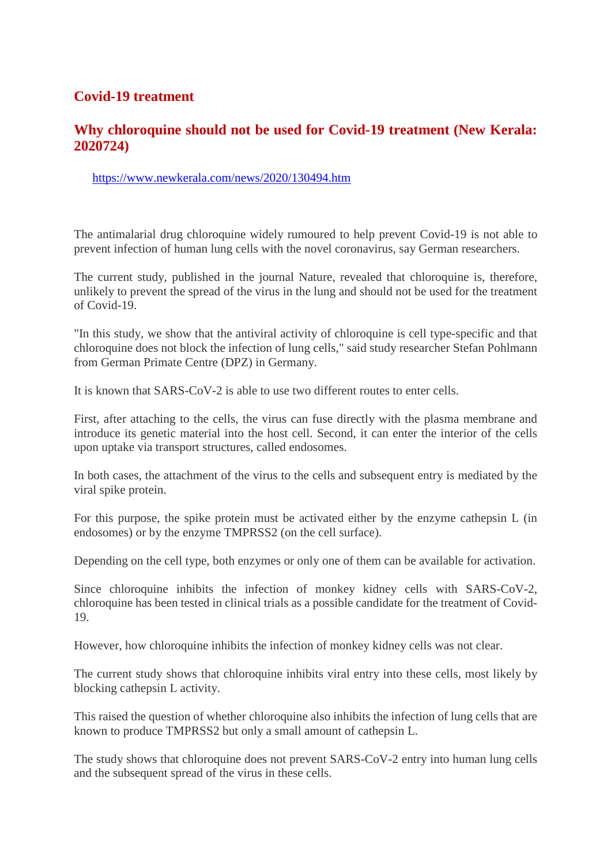## **Covid-19 treatment**

#### **Why chloroquine should not be used for Covid-19 treatment (New Kerala: 2020724)**

https://www.newkerala.com/news/2020/130494.htm

The antimalarial drug chloroquine widely rumoured to help prevent Covid-19 is not able to prevent infection of human lung cells with the novel coronavirus, say German researchers.

The current study, published in the journal Nature, revealed that chloroquine is, therefore, unlikely to prevent the spread of the virus in the lung and should not be used for the treatment of Covid-19.

"In this study, we show that the antiviral activity of chloroquine is cell type-specific and that chloroquine does not block the infection of lung cells," said study researcher Stefan Pohlmann from German Primate Centre (DPZ) in Germany.

It is known that SARS-CoV-2 is able to use two different routes to enter cells.

First, after attaching to the cells, the virus can fuse directly with the plasma membrane and introduce its genetic material into the host cell. Second, it can enter the interior of the cells upon uptake via transport structures, called endosomes.

In both cases, the attachment of the virus to the cells and subsequent entry is mediated by the viral spike protein.

For this purpose, the spike protein must be activated either by the enzyme cathepsin L (in endosomes) or by the enzyme TMPRSS2 (on the cell surface).

Depending on the cell type, both enzymes or only one of them can be available for activation.

Since chloroquine inhibits the infection of monkey kidney cells with SARS-CoV-2, chloroquine has been tested in clinical trials as a possible candidate for the treatment of Covid-19.

However, how chloroquine inhibits the infection of monkey kidney cells was not clear.

The current study shows that chloroquine inhibits viral entry into these cells, most likely by blocking cathepsin L activity.

This raised the question of whether chloroquine also inhibits the infection of lung cells that are known to produce TMPRSS2 but only a small amount of cathepsin L.

The study shows that chloroquine does not prevent SARS-CoV-2 entry into human lung cells and the subsequent spread of the virus in these cells.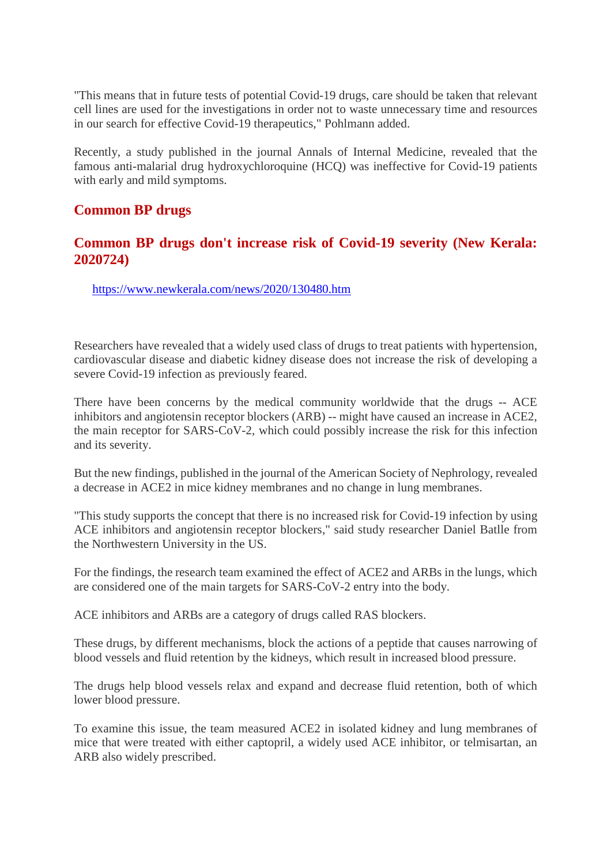"This means that in future tests of potential Covid-19 drugs, care should be taken that relevant cell lines are used for the investigations in order not to waste unnecessary time and resources in our search for effective Covid-19 therapeutics," Pohlmann added.

Recently, a study published in the journal Annals of Internal Medicine, revealed that the famous anti-malarial drug hydroxychloroquine (HCQ) was ineffective for Covid-19 patients with early and mild symptoms.

#### **Common BP drugs**

#### **Common BP drugs don't increase risk of Covid-19 severity (New Kerala: 2020724)**

https://www.newkerala.com/news/2020/130480.htm

Researchers have revealed that a widely used class of drugs to treat patients with hypertension, cardiovascular disease and diabetic kidney disease does not increase the risk of developing a severe Covid-19 infection as previously feared.

There have been concerns by the medical community worldwide that the drugs -- ACE inhibitors and angiotensin receptor blockers (ARB) -- might have caused an increase in ACE2, the main receptor for SARS-CoV-2, which could possibly increase the risk for this infection and its severity.

But the new findings, published in the journal of the American Society of Nephrology, revealed a decrease in ACE2 in mice kidney membranes and no change in lung membranes.

"This study supports the concept that there is no increased risk for Covid-19 infection by using ACE inhibitors and angiotensin receptor blockers," said study researcher Daniel Batlle from the Northwestern University in the US.

For the findings, the research team examined the effect of ACE2 and ARBs in the lungs, which are considered one of the main targets for SARS-CoV-2 entry into the body.

ACE inhibitors and ARBs are a category of drugs called RAS blockers.

These drugs, by different mechanisms, block the actions of a peptide that causes narrowing of blood vessels and fluid retention by the kidneys, which result in increased blood pressure.

The drugs help blood vessels relax and expand and decrease fluid retention, both of which lower blood pressure.

To examine this issue, the team measured ACE2 in isolated kidney and lung membranes of mice that were treated with either captopril, a widely used ACE inhibitor, or telmisartan, an ARB also widely prescribed.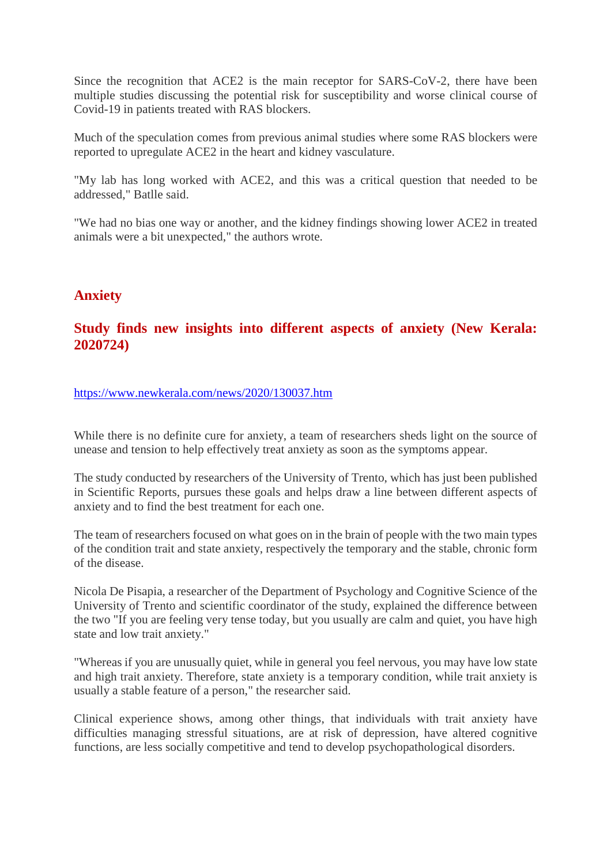Since the recognition that ACE2 is the main receptor for SARS-CoV-2, there have been multiple studies discussing the potential risk for susceptibility and worse clinical course of Covid-19 in patients treated with RAS blockers.

Much of the speculation comes from previous animal studies where some RAS blockers were reported to upregulate ACE2 in the heart and kidney vasculature.

"My lab has long worked with ACE2, and this was a critical question that needed to be addressed," Batlle said.

"We had no bias one way or another, and the kidney findings showing lower ACE2 in treated animals were a bit unexpected," the authors wrote.

#### **Anxiety**

## **Study finds new insights into different aspects of anxiety (New Kerala: 2020724)**

#### https://www.newkerala.com/news/2020/130037.htm

While there is no definite cure for anxiety, a team of researchers sheds light on the source of unease and tension to help effectively treat anxiety as soon as the symptoms appear.

The study conducted by researchers of the University of Trento, which has just been published in Scientific Reports, pursues these goals and helps draw a line between different aspects of anxiety and to find the best treatment for each one.

The team of researchers focused on what goes on in the brain of people with the two main types of the condition trait and state anxiety, respectively the temporary and the stable, chronic form of the disease.

Nicola De Pisapia, a researcher of the Department of Psychology and Cognitive Science of the University of Trento and scientific coordinator of the study, explained the difference between the two "If you are feeling very tense today, but you usually are calm and quiet, you have high state and low trait anxiety."

"Whereas if you are unusually quiet, while in general you feel nervous, you may have low state and high trait anxiety. Therefore, state anxiety is a temporary condition, while trait anxiety is usually a stable feature of a person," the researcher said.

Clinical experience shows, among other things, that individuals with trait anxiety have difficulties managing stressful situations, are at risk of depression, have altered cognitive functions, are less socially competitive and tend to develop psychopathological disorders.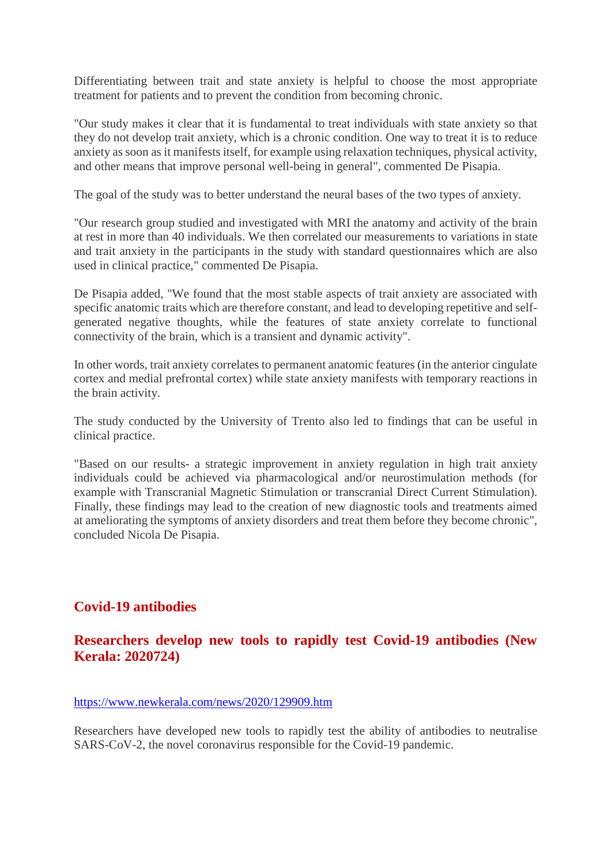Differentiating between trait and state anxiety is helpful to choose the most appropriate treatment for patients and to prevent the condition from becoming chronic.

"Our study makes it clear that it is fundamental to treat individuals with state anxiety so that they do not develop trait anxiety, which is a chronic condition. One way to treat it is to reduce anxiety as soon as it manifests itself, for example using relaxation techniques, physical activity, and other means that improve personal well-being in general", commented De Pisapia.

The goal of the study was to better understand the neural bases of the two types of anxiety.

"Our research group studied and investigated with MRI the anatomy and activity of the brain at rest in more than 40 individuals. We then correlated our measurements to variations in state and trait anxiety in the participants in the study with standard questionnaires which are also used in clinical practice," commented De Pisapia.

De Pisapia added, "We found that the most stable aspects of trait anxiety are associated with specific anatomic traits which are therefore constant, and lead to developing repetitive and selfgenerated negative thoughts, while the features of state anxiety correlate to functional connectivity of the brain, which is a transient and dynamic activity".

In other words, trait anxiety correlates to permanent anatomic features (in the anterior cingulate cortex and medial prefrontal cortex) while state anxiety manifests with temporary reactions in the brain activity.

The study conducted by the University of Trento also led to findings that can be useful in clinical practice.

"Based on our results- a strategic improvement in anxiety regulation in high trait anxiety individuals could be achieved via pharmacological and/or neurostimulation methods (for example with Transcranial Magnetic Stimulation or transcranial Direct Current Stimulation). Finally, these findings may lead to the creation of new diagnostic tools and treatments aimed at ameliorating the symptoms of anxiety disorders and treat them before they become chronic", concluded Nicola De Pisapia.

## **Covid-19 antibodies**

## **Researchers develop new tools to rapidly test Covid-19 antibodies (New Kerala: 2020724)**

#### https://www.newkerala.com/news/2020/129909.htm

Researchers have developed new tools to rapidly test the ability of antibodies to neutralise SARS-CoV-2, the novel coronavirus responsible for the Covid-19 pandemic.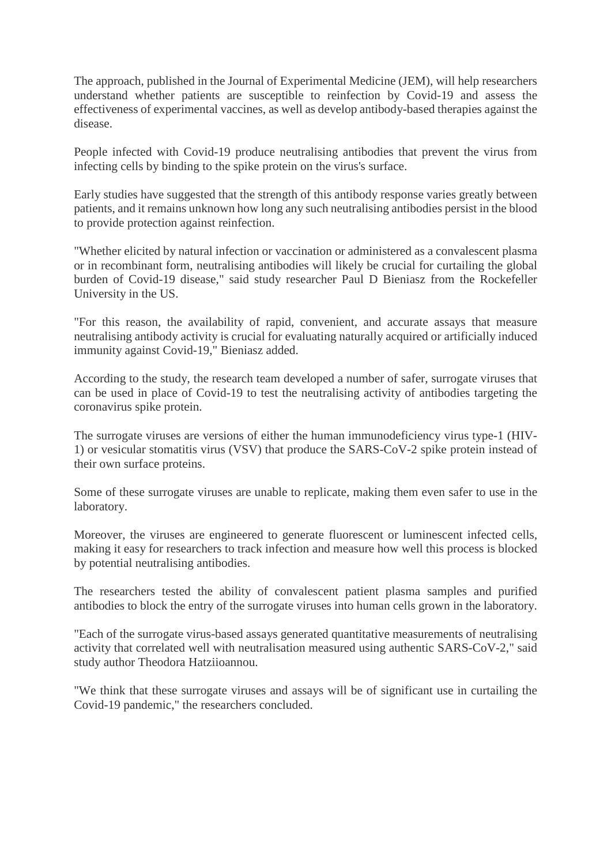The approach, published in the Journal of Experimental Medicine (JEM), will help researchers understand whether patients are susceptible to reinfection by Covid-19 and assess the effectiveness of experimental vaccines, as well as develop antibody-based therapies against the disease.

People infected with Covid-19 produce neutralising antibodies that prevent the virus from infecting cells by binding to the spike protein on the virus's surface.

Early studies have suggested that the strength of this antibody response varies greatly between patients, and it remains unknown how long any such neutralising antibodies persist in the blood to provide protection against reinfection.

"Whether elicited by natural infection or vaccination or administered as a convalescent plasma or in recombinant form, neutralising antibodies will likely be crucial for curtailing the global burden of Covid-19 disease," said study researcher Paul D Bieniasz from the Rockefeller University in the US.

"For this reason, the availability of rapid, convenient, and accurate assays that measure neutralising antibody activity is crucial for evaluating naturally acquired or artificially induced immunity against Covid-19," Bieniasz added.

According to the study, the research team developed a number of safer, surrogate viruses that can be used in place of Covid-19 to test the neutralising activity of antibodies targeting the coronavirus spike protein.

The surrogate viruses are versions of either the human immunodeficiency virus type-1 (HIV-1) or vesicular stomatitis virus (VSV) that produce the SARS-CoV-2 spike protein instead of their own surface proteins.

Some of these surrogate viruses are unable to replicate, making them even safer to use in the laboratory.

Moreover, the viruses are engineered to generate fluorescent or luminescent infected cells, making it easy for researchers to track infection and measure how well this process is blocked by potential neutralising antibodies.

The researchers tested the ability of convalescent patient plasma samples and purified antibodies to block the entry of the surrogate viruses into human cells grown in the laboratory.

"Each of the surrogate virus-based assays generated quantitative measurements of neutralising activity that correlated well with neutralisation measured using authentic SARS-CoV-2," said study author Theodora Hatziioannou.

"We think that these surrogate viruses and assays will be of significant use in curtailing the Covid-19 pandemic," the researchers concluded.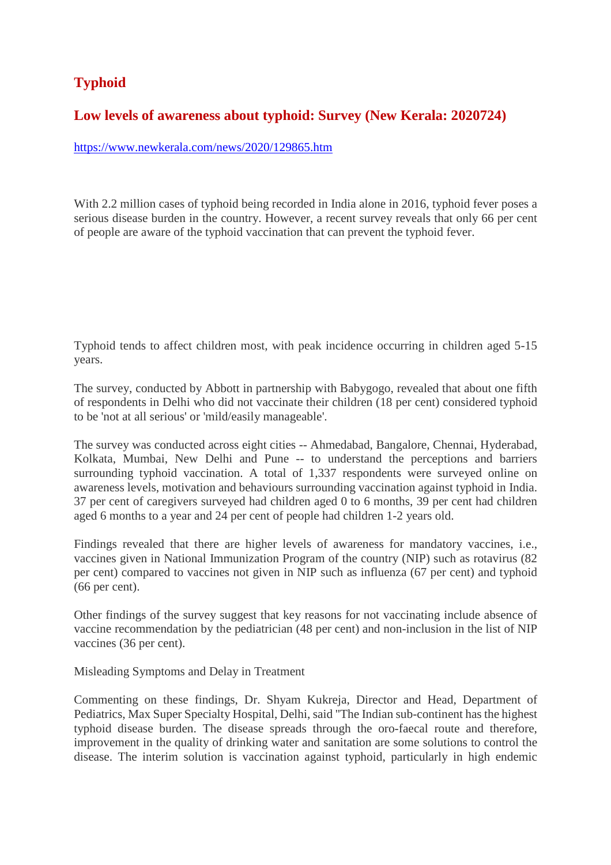# **Typhoid**

# **Low levels of awareness about typhoid: Survey (New Kerala: 2020724)**

https://www.newkerala.com/news/2020/129865.htm

With 2.2 million cases of typhoid being recorded in India alone in 2016, typhoid fever poses a serious disease burden in the country. However, a recent survey reveals that only 66 per cent of people are aware of the typhoid vaccination that can prevent the typhoid fever.

Typhoid tends to affect children most, with peak incidence occurring in children aged 5-15 years.

The survey, conducted by Abbott in partnership with Babygogo, revealed that about one fifth of respondents in Delhi who did not vaccinate their children (18 per cent) considered typhoid to be 'not at all serious' or 'mild/easily manageable'.

The survey was conducted across eight cities -- Ahmedabad, Bangalore, Chennai, Hyderabad, Kolkata, Mumbai, New Delhi and Pune -- to understand the perceptions and barriers surrounding typhoid vaccination. A total of 1,337 respondents were surveyed online on awareness levels, motivation and behaviours surrounding vaccination against typhoid in India. 37 per cent of caregivers surveyed had children aged 0 to 6 months, 39 per cent had children aged 6 months to a year and 24 per cent of people had children 1-2 years old.

Findings revealed that there are higher levels of awareness for mandatory vaccines, i.e., vaccines given in National Immunization Program of the country (NIP) such as rotavirus (82 per cent) compared to vaccines not given in NIP such as influenza (67 per cent) and typhoid (66 per cent).

Other findings of the survey suggest that key reasons for not vaccinating include absence of vaccine recommendation by the pediatrician (48 per cent) and non-inclusion in the list of NIP vaccines (36 per cent).

Misleading Symptoms and Delay in Treatment

Commenting on these findings, Dr. Shyam Kukreja, Director and Head, Department of Pediatrics, Max Super Specialty Hospital, Delhi, said "The Indian sub-continent has the highest typhoid disease burden. The disease spreads through the oro-faecal route and therefore, improvement in the quality of drinking water and sanitation are some solutions to control the disease. The interim solution is vaccination against typhoid, particularly in high endemic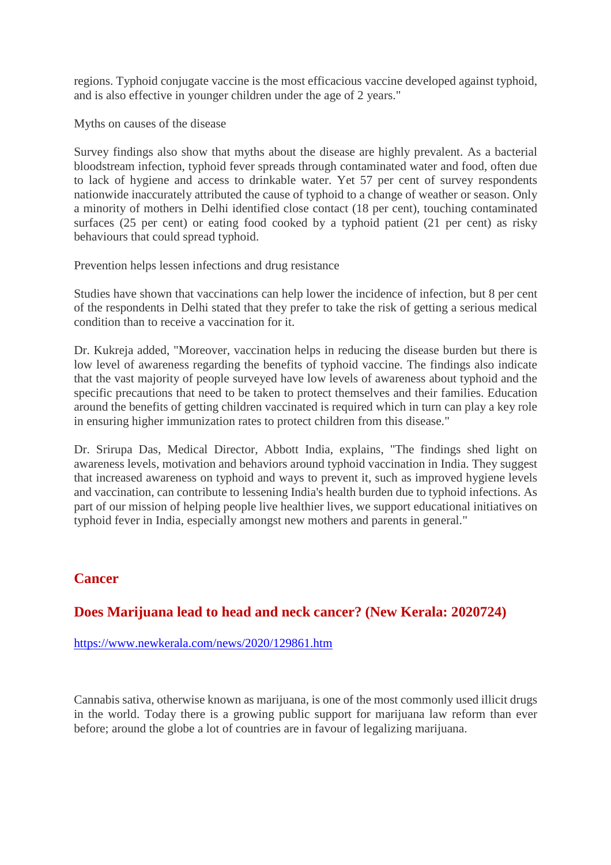regions. Typhoid conjugate vaccine is the most efficacious vaccine developed against typhoid, and is also effective in younger children under the age of 2 years."

Myths on causes of the disease

Survey findings also show that myths about the disease are highly prevalent. As a bacterial bloodstream infection, typhoid fever spreads through contaminated water and food, often due to lack of hygiene and access to drinkable water. Yet 57 per cent of survey respondents nationwide inaccurately attributed the cause of typhoid to a change of weather or season. Only a minority of mothers in Delhi identified close contact (18 per cent), touching contaminated surfaces (25 per cent) or eating food cooked by a typhoid patient (21 per cent) as risky behaviours that could spread typhoid.

Prevention helps lessen infections and drug resistance

Studies have shown that vaccinations can help lower the incidence of infection, but 8 per cent of the respondents in Delhi stated that they prefer to take the risk of getting a serious medical condition than to receive a vaccination for it.

Dr. Kukreja added, "Moreover, vaccination helps in reducing the disease burden but there is low level of awareness regarding the benefits of typhoid vaccine. The findings also indicate that the vast majority of people surveyed have low levels of awareness about typhoid and the specific precautions that need to be taken to protect themselves and their families. Education around the benefits of getting children vaccinated is required which in turn can play a key role in ensuring higher immunization rates to protect children from this disease."

Dr. Srirupa Das, Medical Director, Abbott India, explains, "The findings shed light on awareness levels, motivation and behaviors around typhoid vaccination in India. They suggest that increased awareness on typhoid and ways to prevent it, such as improved hygiene levels and vaccination, can contribute to lessening India's health burden due to typhoid infections. As part of our mission of helping people live healthier lives, we support educational initiatives on typhoid fever in India, especially amongst new mothers and parents in general."

# **Cancer**

## **Does Marijuana lead to head and neck cancer? (New Kerala: 2020724)**

https://www.newkerala.com/news/2020/129861.htm

Cannabis sativa, otherwise known as marijuana, is one of the most commonly used illicit drugs in the world. Today there is a growing public support for marijuana law reform than ever before; around the globe a lot of countries are in favour of legalizing marijuana.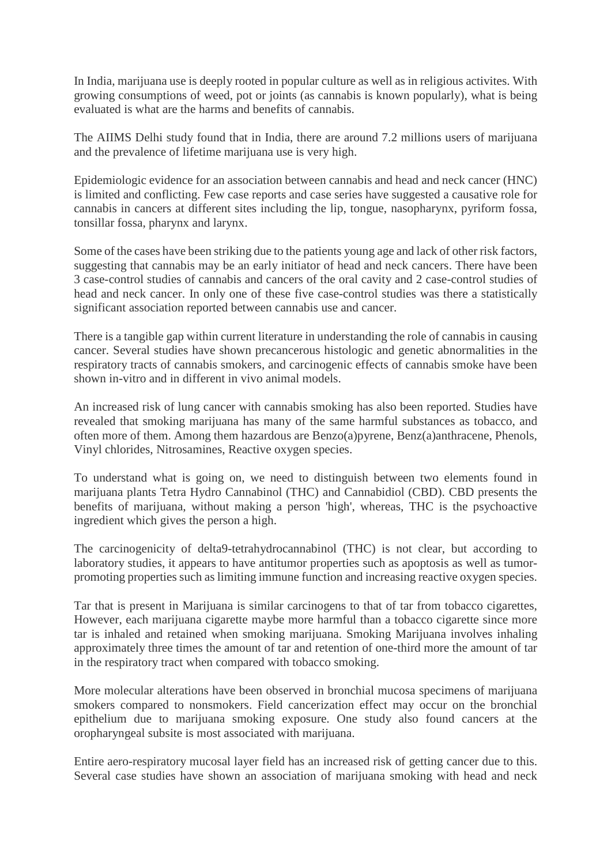In India, marijuana use is deeply rooted in popular culture as well as in religious activites. With growing consumptions of weed, pot or joints (as cannabis is known popularly), what is being evaluated is what are the harms and benefits of cannabis.

The AIIMS Delhi study found that in India, there are around 7.2 millions users of marijuana and the prevalence of lifetime marijuana use is very high.

Epidemiologic evidence for an association between cannabis and head and neck cancer (HNC) is limited and conflicting. Few case reports and case series have suggested a causative role for cannabis in cancers at different sites including the lip, tongue, nasopharynx, pyriform fossa, tonsillar fossa, pharynx and larynx.

Some of the cases have been striking due to the patients young age and lack of other risk factors, suggesting that cannabis may be an early initiator of head and neck cancers. There have been 3 case-control studies of cannabis and cancers of the oral cavity and 2 case-control studies of head and neck cancer. In only one of these five case-control studies was there a statistically significant association reported between cannabis use and cancer.

There is a tangible gap within current literature in understanding the role of cannabis in causing cancer. Several studies have shown precancerous histologic and genetic abnormalities in the respiratory tracts of cannabis smokers, and carcinogenic effects of cannabis smoke have been shown in-vitro and in different in vivo animal models.

An increased risk of lung cancer with cannabis smoking has also been reported. Studies have revealed that smoking marijuana has many of the same harmful substances as tobacco, and often more of them. Among them hazardous are Benzo(a)pyrene, Benz(a)anthracene, Phenols, Vinyl chlorides, Nitrosamines, Reactive oxygen species.

To understand what is going on, we need to distinguish between two elements found in marijuana plants Tetra Hydro Cannabinol (THC) and Cannabidiol (CBD). CBD presents the benefits of marijuana, without making a person 'high', whereas, THC is the psychoactive ingredient which gives the person a high.

The carcinogenicity of delta9-tetrahydrocannabinol (THC) is not clear, but according to laboratory studies, it appears to have antitumor properties such as apoptosis as well as tumorpromoting properties such as limiting immune function and increasing reactive oxygen species.

Tar that is present in Marijuana is similar carcinogens to that of tar from tobacco cigarettes, However, each marijuana cigarette maybe more harmful than a tobacco cigarette since more tar is inhaled and retained when smoking marijuana. Smoking Marijuana involves inhaling approximately three times the amount of tar and retention of one-third more the amount of tar in the respiratory tract when compared with tobacco smoking.

More molecular alterations have been observed in bronchial mucosa specimens of marijuana smokers compared to nonsmokers. Field cancerization effect may occur on the bronchial epithelium due to marijuana smoking exposure. One study also found cancers at the oropharyngeal subsite is most associated with marijuana.

Entire aero-respiratory mucosal layer field has an increased risk of getting cancer due to this. Several case studies have shown an association of marijuana smoking with head and neck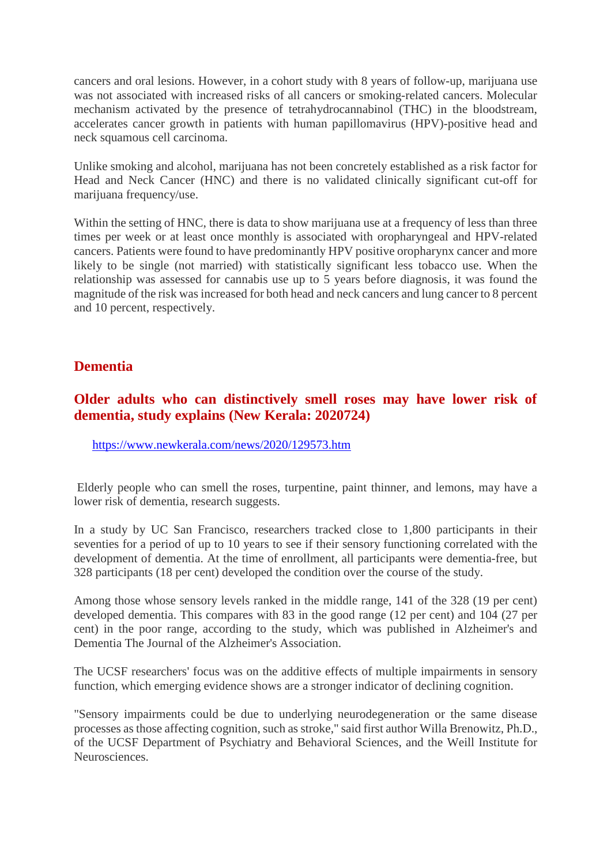cancers and oral lesions. However, in a cohort study with 8 years of follow-up, marijuana use was not associated with increased risks of all cancers or smoking-related cancers. Molecular mechanism activated by the presence of tetrahydrocannabinol (THC) in the bloodstream, accelerates cancer growth in patients with human papillomavirus (HPV)-positive head and neck squamous cell carcinoma.

Unlike smoking and alcohol, marijuana has not been concretely established as a risk factor for Head and Neck Cancer (HNC) and there is no validated clinically significant cut-off for marijuana frequency/use.

Within the setting of HNC, there is data to show marijuana use at a frequency of less than three times per week or at least once monthly is associated with oropharyngeal and HPV-related cancers. Patients were found to have predominantly HPV positive oropharynx cancer and more likely to be single (not married) with statistically significant less tobacco use. When the relationship was assessed for cannabis use up to 5 years before diagnosis, it was found the magnitude of the risk was increased for both head and neck cancers and lung cancer to 8 percent and 10 percent, respectively.

#### **Dementia**

# **Older adults who can distinctively smell roses may have lower risk of dementia, study explains (New Kerala: 2020724)**

https://www.newkerala.com/news/2020/129573.htm

Elderly people who can smell the roses, turpentine, paint thinner, and lemons, may have a lower risk of dementia, research suggests.

In a study by UC San Francisco, researchers tracked close to 1,800 participants in their seventies for a period of up to 10 years to see if their sensory functioning correlated with the development of dementia. At the time of enrollment, all participants were dementia-free, but 328 participants (18 per cent) developed the condition over the course of the study.

Among those whose sensory levels ranked in the middle range, 141 of the 328 (19 per cent) developed dementia. This compares with 83 in the good range (12 per cent) and 104 (27 per cent) in the poor range, according to the study, which was published in Alzheimer's and Dementia The Journal of the Alzheimer's Association.

The UCSF researchers' focus was on the additive effects of multiple impairments in sensory function, which emerging evidence shows are a stronger indicator of declining cognition.

"Sensory impairments could be due to underlying neurodegeneration or the same disease processes as those affecting cognition, such as stroke," said first author Willa Brenowitz, Ph.D., of the UCSF Department of Psychiatry and Behavioral Sciences, and the Weill Institute for Neurosciences.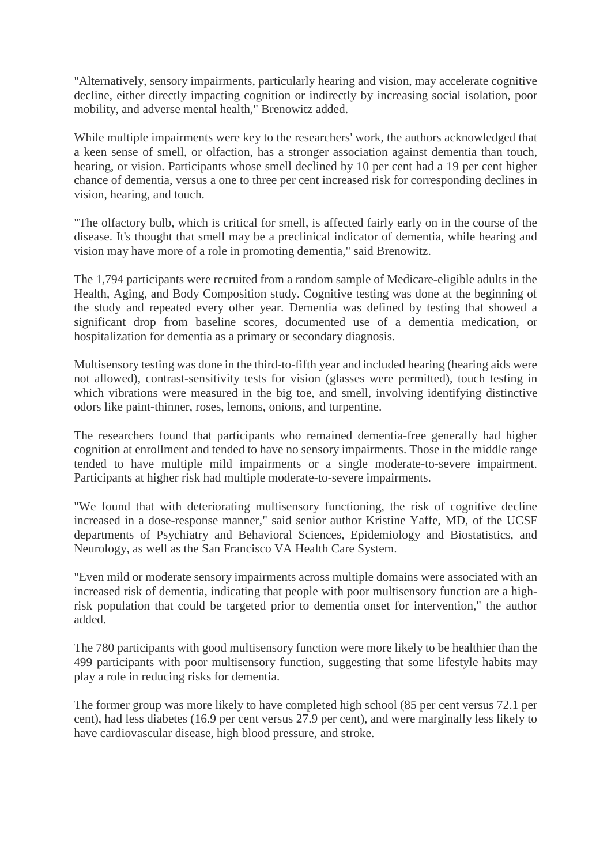"Alternatively, sensory impairments, particularly hearing and vision, may accelerate cognitive decline, either directly impacting cognition or indirectly by increasing social isolation, poor mobility, and adverse mental health," Brenowitz added.

While multiple impairments were key to the researchers' work, the authors acknowledged that a keen sense of smell, or olfaction, has a stronger association against dementia than touch, hearing, or vision. Participants whose smell declined by 10 per cent had a 19 per cent higher chance of dementia, versus a one to three per cent increased risk for corresponding declines in vision, hearing, and touch.

"The olfactory bulb, which is critical for smell, is affected fairly early on in the course of the disease. It's thought that smell may be a preclinical indicator of dementia, while hearing and vision may have more of a role in promoting dementia," said Brenowitz.

The 1,794 participants were recruited from a random sample of Medicare-eligible adults in the Health, Aging, and Body Composition study. Cognitive testing was done at the beginning of the study and repeated every other year. Dementia was defined by testing that showed a significant drop from baseline scores, documented use of a dementia medication, or hospitalization for dementia as a primary or secondary diagnosis.

Multisensory testing was done in the third-to-fifth year and included hearing (hearing aids were not allowed), contrast-sensitivity tests for vision (glasses were permitted), touch testing in which vibrations were measured in the big toe, and smell, involving identifying distinctive odors like paint-thinner, roses, lemons, onions, and turpentine.

The researchers found that participants who remained dementia-free generally had higher cognition at enrollment and tended to have no sensory impairments. Those in the middle range tended to have multiple mild impairments or a single moderate-to-severe impairment. Participants at higher risk had multiple moderate-to-severe impairments.

"We found that with deteriorating multisensory functioning, the risk of cognitive decline increased in a dose-response manner," said senior author Kristine Yaffe, MD, of the UCSF departments of Psychiatry and Behavioral Sciences, Epidemiology and Biostatistics, and Neurology, as well as the San Francisco VA Health Care System.

"Even mild or moderate sensory impairments across multiple domains were associated with an increased risk of dementia, indicating that people with poor multisensory function are a highrisk population that could be targeted prior to dementia onset for intervention," the author added.

The 780 participants with good multisensory function were more likely to be healthier than the 499 participants with poor multisensory function, suggesting that some lifestyle habits may play a role in reducing risks for dementia.

The former group was more likely to have completed high school (85 per cent versus 72.1 per cent), had less diabetes (16.9 per cent versus 27.9 per cent), and were marginally less likely to have cardiovascular disease, high blood pressure, and stroke.